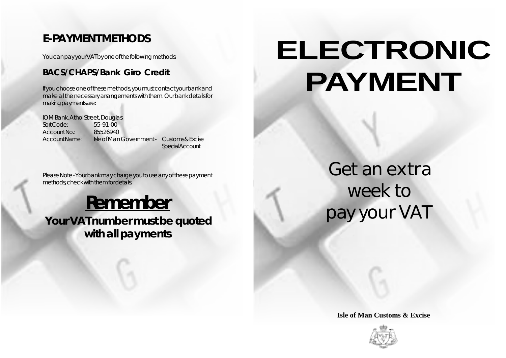## **E-PAYMENT METHODS**

You can pay your VAT by one of the following methods:

## **BACS/CHAPS/Bank Giro Credit**

If you choose one of these methods, you must contact your bank and make all the necessary arrangements with them. Our bank details for making payments are:

IOM Bank, Athol Street, Douglas Sort Code: 55-91-00 Account No.: 85526940 Account Name: Isle of Man Government - Customs & Excise **Special Account** 

Please Note - Your bank may charge you to use any of these payment methods, check with them for details.

## **Remember**

 **Your VAT number must be quoted with all payments**

## **ELECTRONIC PAYMENT**

Get an extra week to pay your VAT

**Isle of Man Customs & Excise**